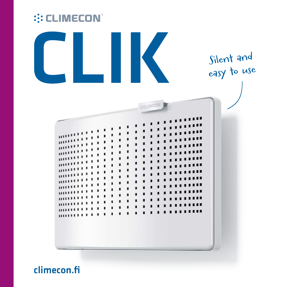

climecon.fi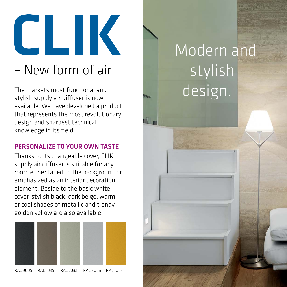# CLIK

# – New form of air

The markets most functional and stylish supply air diffuser is now available. We have developed a product that represents the most revolutionary design and sharpest technical knowledge in its field.

#### PERSONALIZE TO YOUR OWN TASTE

Thanks to its changeable cover, CLIK supply air diffuser is suitable for any room either faded to the background or emphasized as an interior decoration element. Beside to the basic white cover, stylish black, dark beige, warm or cool shades of metallic and trendy golden yellow are also available.



# Modern and stylish design.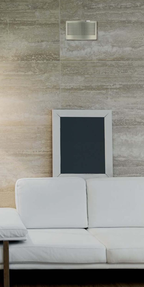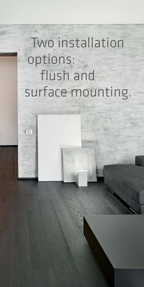Two installation options: flush and surface mounting.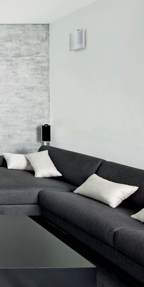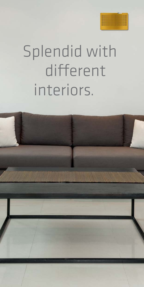

# Splendid with different interiors.

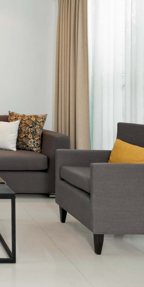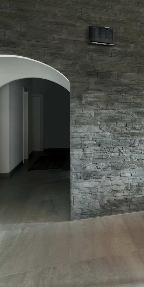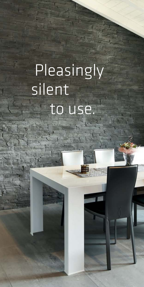# Pleasingly silent to use.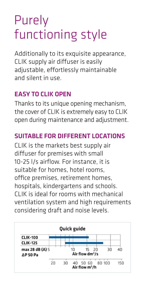### Purely functioning style

Additionally to its exquisite appearance, CLIK supply air diffuser is easily adjustable, effortlessly maintainable and silent in use.

#### EASY TO CLIK OPEN

Thanks to its unique opening mechanism, the cover of CLIK is extremely easy to CLIK open during maintenance and adjustment.

#### SUITABLE FOR DIFFERENT LOCATIONS

CLIK is the markets best supply air diffuser for premises with small 10-25 l/s airflow. For instance, it is suitable for homes, hotel rooms, office premises, retirement homes, hospitals, kindergartens and schools. CLIK is ideal for rooms with mechanical ventilation system and high requirements considering draft and noise levels.

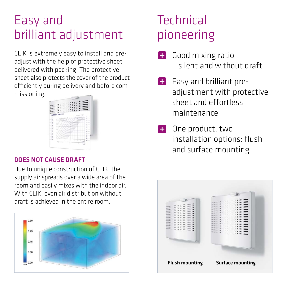## Easy and brilliant adjustment

CLIK is extremely easy to install and preadjust with the help of protective sheet delivered with packing. The protective sheet also protects the cover of the product efficiently during delivery and before commissioning.



#### DOES NOT CAUSE DRAFT

Due to unique construction of CLIK, the supply air spreads over a wide area of the room and easily mixes with the indoor air. With CLIK, even air distribution without draft is achieved in the entire room.



## **Technical** pioneering

- Good mixing ratio  $\left| + \right|$ – silent and without draft
- Easy and brilliant preadjustment with protective sheet and effortless maintenance
- **+** One product, two installation options: flush and surface mounting